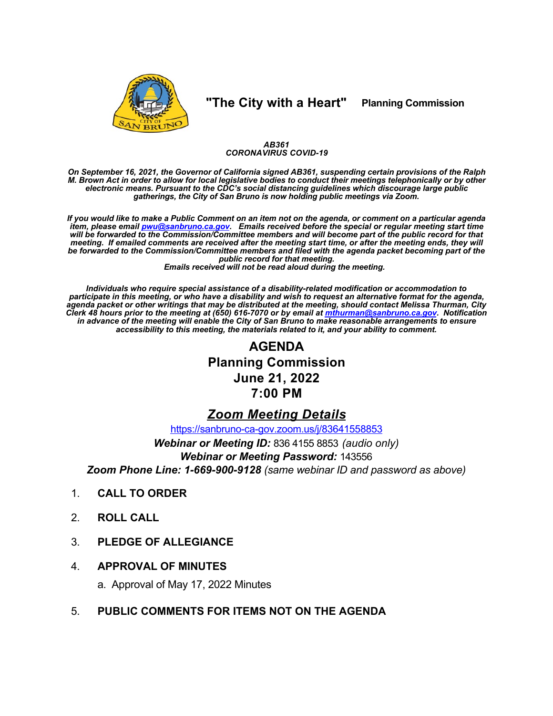

## "The City with a Heart"

**Planning Commission** 

### AB361 **CORONAVIRUS COVID-19**

On September 16, 2021, the Governor of California signed AB361, suspending certain provisions of the Ralph<br>M. Brown Act in order to allow for local legislative bodies to conduct their meetings telephonically or by other electronic means. Pursuant to the CDC's social distancing guidelines which discourage large public<br>gatherings, the City of San Bruno is now holding public meetings via Zoom.

If you would like to make a Public Comment on an item not on the agenda, or comment on a particular agenda if em, please email pwu@sanbruno.ca.gov. Emails received before the special or regular meeting start time<br>will be forwarded to the Commission/Committee members and will become part of the public record for that<br>meeting. If be forwarded to the Commission/Committee members and filed with the agenda packet becoming part of the public record for that meeting.

Emails received will not be read aloud during the meeting.

Individuals who require special assistance of a disability-related modification or accommodation to<br>participate in this meeting, or who have a disability and wish to request an alternative format for the agenda,<br>agenda pac Clerk 48 hours prior to the meeting at (650) 616-7070 or by email at mthurman@sanbruno.ca.gov. Notification<br>in advance of the meeting will enable the City of San Bruno to make reasonable arrangements to ensure accessibility to this meeting, the materials related to it, and your ability to comment.

# **AGENDA Planning Commission June 21, 2022** 7:00 PM

## **Zoom Meeting Details**

https://sanbruno-ca-gov.zoom.us/j/83641558853

Webinar or Meeting ID: 836 4155 8853 (audio only)

**Webinar or Meeting Password: 143556** 

Zoom Phone Line: 1-669-900-9128 (same webinar ID and password as above)

- **CALL TO ORDER**  $1<sub>1</sub>$
- $2<sub>1</sub>$ **ROLL CALL**
- **PLEDGE OF ALLEGIANCE** 3.
- $\overline{4}$ **APPROVAL OF MINUTES**

a. Approval of May 17, 2022 Minutes

 $5<sub>1</sub>$ PUBLIC COMMENTS FOR ITEMS NOT ON THE AGENDA